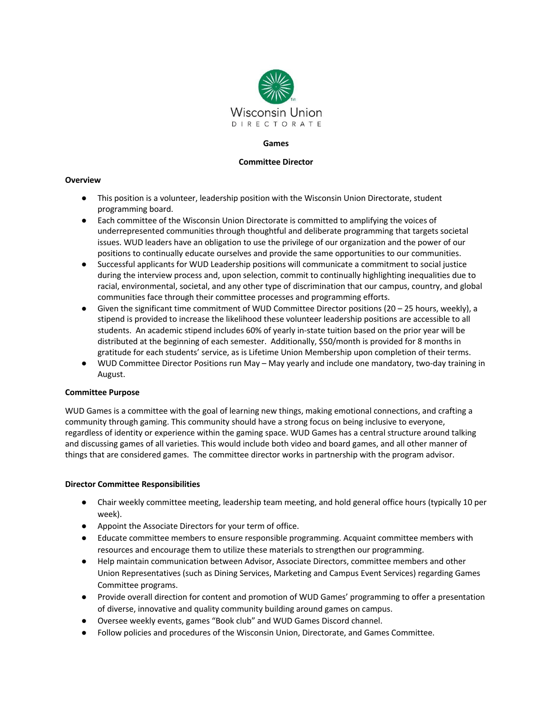

## **Games**

## **Committee Director**

# **Overview**

- This position is a volunteer, leadership position with the Wisconsin Union Directorate, student programming board.
- Each committee of the Wisconsin Union Directorate is committed to amplifying the voices of underrepresented communities through thoughtful and deliberate programming that targets societal issues. WUD leaders have an obligation to use the privilege of our organization and the power of our positions to continually educate ourselves and provide the same opportunities to our communities.
- Successful applicants for WUD Leadership positions will communicate a commitment to social justice during the interview process and, upon selection, commit to continually highlighting inequalities due to racial, environmental, societal, and any other type of discrimination that our campus, country, and global communities face through their committee processes and programming efforts.
- $\bullet$  Given the significant time commitment of WUD Committee Director positions (20 25 hours, weekly), a stipend is provided to increase the likelihood these volunteer leadership positions are accessible to all students. An academic stipend includes 60% of yearly in-state tuition based on the prior year will be distributed at the beginning of each semester. Additionally, \$50/month is provided for 8 months in gratitude for each students' service, as is Lifetime Union Membership upon completion of their terms.
- WUD Committee Director Positions run May May yearly and include one mandatory, two-day training in August.

# **Committee Purpose**

WUD Games is a committee with the goal of learning new things, making emotional connections, and crafting a community through gaming. This community should have a strong focus on being inclusive to everyone, regardless of identity or experience within the gaming space. WUD Games has a central structure around talking and discussing games of all varieties. This would include both video and board games, and all other manner of things that are considered games. The committee director works in partnership with the program advisor.

# **Director Committee Responsibilities**

- Chair weekly committee meeting, leadership team meeting, and hold general office hours (typically 10 per week).
- Appoint the Associate Directors for your term of office.
- Educate committee members to ensure responsible programming. Acquaint committee members with resources and encourage them to utilize these materials to strengthen our programming.
- Help maintain communication between Advisor, Associate Directors, committee members and other Union Representatives (such as Dining Services, Marketing and Campus Event Services) regarding Games Committee programs.
- Provide overall direction for content and promotion of WUD Games' programming to offer a presentation of diverse, innovative and quality community building around games on campus.
- Oversee weekly events, games "Book club" and WUD Games Discord channel.
- Follow policies and procedures of the Wisconsin Union, Directorate, and Games Committee.